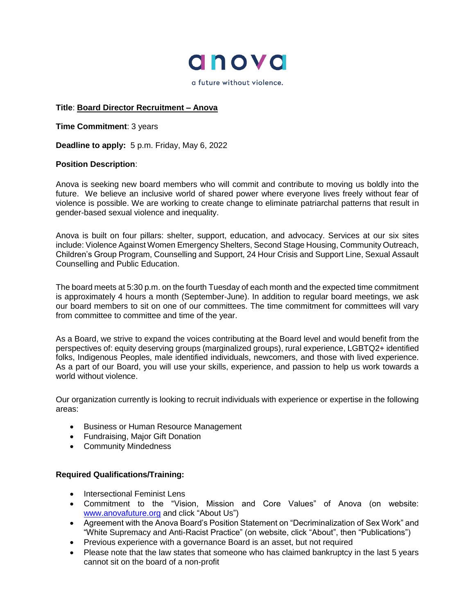

a future without violence.

## **Title**: **Board Director Recruitment – Anova**

**Time Commitment**: 3 years

**Deadline to apply:** 5 p.m. Friday, May 6, 2022

## **Position Description**:

Anova is seeking new board members who will commit and contribute to moving us boldly into the future. We believe an inclusive world of shared power where everyone lives freely without fear of violence is possible. We are working to create change to eliminate patriarchal patterns that result in gender-based sexual violence and inequality.

Anova is built on four pillars: shelter, support, education, and advocacy. Services at our six sites include: Violence Against Women Emergency Shelters, Second Stage Housing, Community Outreach, Children's Group Program, Counselling and Support, 24 Hour Crisis and Support Line, Sexual Assault Counselling and Public Education.

The board meets at 5:30 p.m. on the fourth Tuesday of each month and the expected time commitment is approximately 4 hours a month (September-June). In addition to regular board meetings, we ask our board members to sit on one of our committees. The time commitment for committees will vary from committee to committee and time of the year.

As a Board, we strive to expand the voices contributing at the Board level and would benefit from the perspectives of: equity deserving groups (marginalized groups), rural experience, LGBTQ2+ identified folks, Indigenous Peoples, male identified individuals, newcomers, and those with lived experience. As a part of our Board, you will use your skills, experience, and passion to help us work towards a world without violence.

Our organization currently is looking to recruit individuals with experience or expertise in the following areas:

- Business or Human Resource Management
- Fundraising, Major Gift Donation
- Community Mindedness

## **Required Qualifications/Training:**

- Intersectional Feminist Lens
- Commitment to the "Vision, Mission and Core Values" of Anova (on website: [www.anovafuture.org](http://www.anovafuture.org/) and click "About Us")
- Agreement with the Anova Board's Position Statement on "Decriminalization of Sex Work" and "White Supremacy and Anti-Racist Practice" (on website, click "About", then "Publications")
- Previous experience with a governance Board is an asset, but not required
- Please note that the law states that someone who has claimed bankruptcy in the last 5 years cannot sit on the board of a non-profit